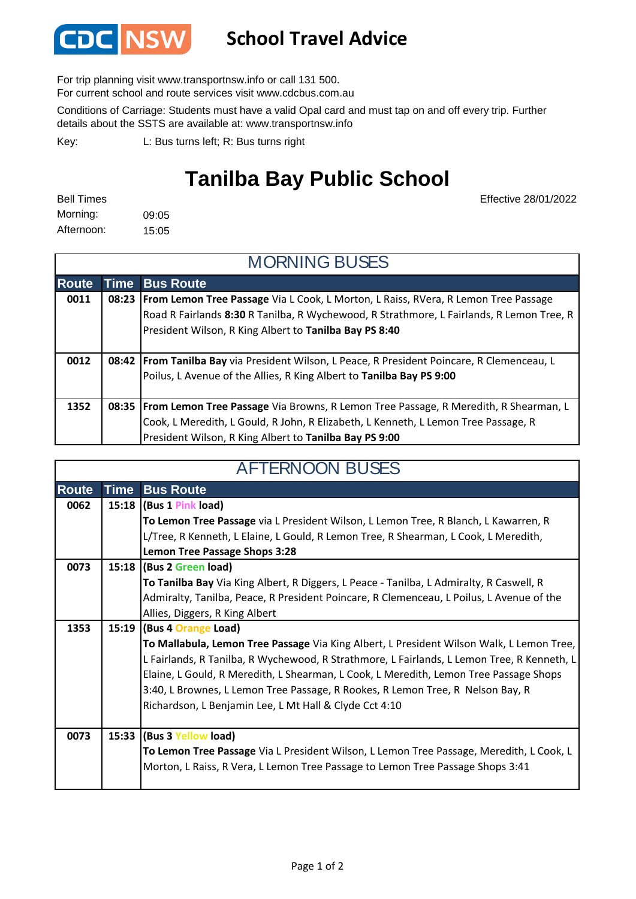

## **School Travel Advice**

For trip planning visit www.transportnsw.info or call 131 500.

For current school and route services visit www.cdcbus.com.au

Conditions of Carriage: Students must have a valid Opal card and must tap on and off every trip. Further details about the SSTS are available at: www.transportnsw.info

L: Bus turns left; R: Bus turns right Key:

## **Tanilba Bay Public School**

| <b>Bell Times</b> |       |
|-------------------|-------|
| Morning:          | 09:05 |
| Afternoon:        | 15:05 |

Effective 28/01/2022

| <b>MORNING BUSES</b> |       |                                                                                               |  |  |
|----------------------|-------|-----------------------------------------------------------------------------------------------|--|--|
| <b>Route</b>         |       | <b>Time Bus Route</b>                                                                         |  |  |
| 0011                 | 08:23 | <b>From Lemon Tree Passage</b> Via L Cook, L Morton, L Raiss, RVera, R Lemon Tree Passage     |  |  |
|                      |       | Road R Fairlands 8:30 R Tanilba, R Wychewood, R Strathmore, L Fairlands, R Lemon Tree, R      |  |  |
|                      |       | President Wilson, R King Albert to Tanilba Bay PS 8:40                                        |  |  |
|                      |       |                                                                                               |  |  |
| 0012                 |       | 08:42   From Tanilba Bay via President Wilson, L Peace, R President Poincare, R Clemenceau, L |  |  |
|                      |       | Poilus, L Avenue of the Allies, R King Albert to Tanilba Bay PS 9:00                          |  |  |
|                      |       |                                                                                               |  |  |
| 1352                 |       | 08:35   From Lemon Tree Passage Via Browns, R Lemon Tree Passage, R Meredith, R Shearman, L   |  |  |
|                      |       | Cook, L Meredith, L Gould, R John, R Elizabeth, L Kenneth, L Lemon Tree Passage, R            |  |  |
|                      |       | President Wilson, R King Albert to Tanilba Bay PS 9:00                                        |  |  |

| <b>AFTERNOON BUSES</b> |             |                                                                                            |  |
|------------------------|-------------|--------------------------------------------------------------------------------------------|--|
| <b>Route</b>           | <b>Time</b> | <b>Bus Route</b>                                                                           |  |
| 0062                   |             | 15:18 (Bus 1 Pink load)                                                                    |  |
|                        |             | To Lemon Tree Passage via L President Wilson, L Lemon Tree, R Blanch, L Kawarren, R        |  |
|                        |             | L/Tree, R Kenneth, L Elaine, L Gould, R Lemon Tree, R Shearman, L Cook, L Meredith,        |  |
|                        |             | <b>Lemon Tree Passage Shops 3:28</b>                                                       |  |
| 0073                   |             | 15:18 (Bus 2 Green load)                                                                   |  |
|                        |             | To Tanilba Bay Via King Albert, R Diggers, L Peace - Tanilba, L Admiralty, R Caswell, R    |  |
|                        |             | Admiralty, Tanilba, Peace, R President Poincare, R Clemenceau, L Poilus, L Avenue of the   |  |
|                        |             | Allies, Diggers, R King Albert                                                             |  |
| 1353                   |             | 15:19 (Bus 4 Orange Load)                                                                  |  |
|                        |             | To Mallabula, Lemon Tree Passage Via King Albert, L President Wilson Walk, L Lemon Tree,   |  |
|                        |             | L Fairlands, R Tanilba, R Wychewood, R Strathmore, L Fairlands, L Lemon Tree, R Kenneth, L |  |
|                        |             | Elaine, L Gould, R Meredith, L Shearman, L Cook, L Meredith, Lemon Tree Passage Shops      |  |
|                        |             | 3:40, L Brownes, L Lemon Tree Passage, R Rookes, R Lemon Tree, R Nelson Bay, R             |  |
|                        |             | Richardson, L Benjamin Lee, L Mt Hall & Clyde Cct 4:10                                     |  |
|                        |             |                                                                                            |  |
| 0073                   |             | 15:33 (Bus 3 Yellow load)                                                                  |  |
|                        |             | To Lemon Tree Passage Via L President Wilson, L Lemon Tree Passage, Meredith, L Cook, L    |  |
|                        |             | Morton, L Raiss, R Vera, L Lemon Tree Passage to Lemon Tree Passage Shops 3:41             |  |
|                        |             |                                                                                            |  |